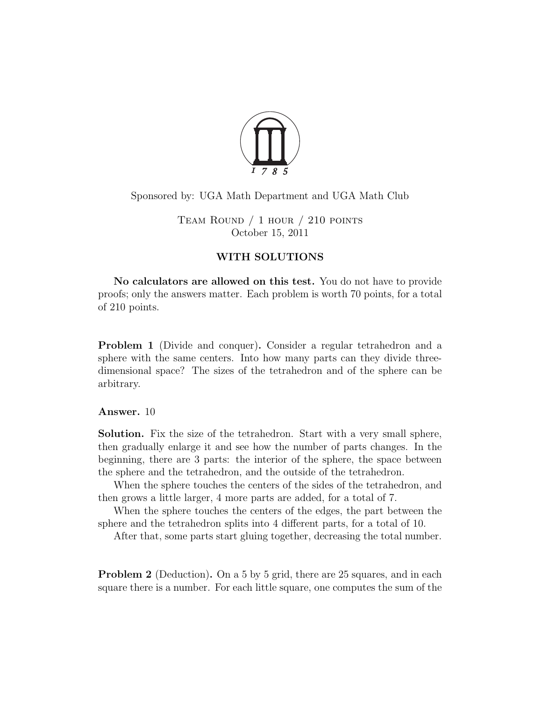

## Sponsored by: UGA Math Department and UGA Math Club

Team Round / 1 hour / 210 points October 15, 2011

## WITH SOLUTIONS

No calculators are allowed on this test. You do not have to provide proofs; only the answers matter. Each problem is worth 70 points, for a total of 210 points.

<span id="page-0-0"></span>Problem 1 (Divide and conquer). Consider a regular tetrahedron and a sphere with the same centers. Into how many parts can they divide threedimensional space? The sizes of the tetrahedron and of the sphere can be arbitrary.

## Answer. 10

Solution. Fix the size of the tetrahedron. Start with a very small sphere, then gradually enlarge it and see how the number of parts changes. In the beginning, there are 3 parts: the interior of the sphere, the space between the sphere and the tetrahedron, and the outside of the tetrahedron.

When the sphere touches the centers of the sides of the tetrahedron, and then grows a little larger, 4 more parts are added, for a total of 7.

When the sphere touches the centers of the edges, the part between the sphere and the tetrahedron splits into 4 different parts, for a total of 10.

After that, some parts start gluing together, decreasing the total number.

<span id="page-0-1"></span>**Problem 2** (Deduction). On a 5 by 5 grid, there are 25 squares, and in each square there is a number. For each little square, one computes the sum of the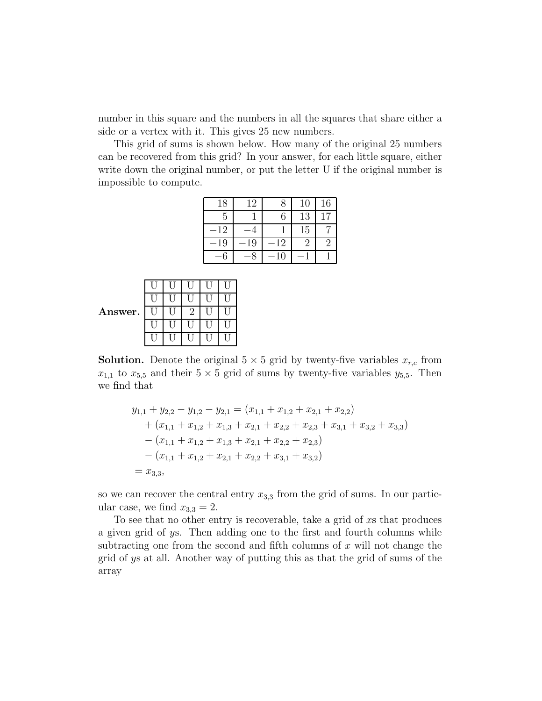number in this square and the numbers in all the squares that share either a side or a vertex with it. This gives 25 new numbers.

This grid of sums is shown below. How many of the original 25 numbers can be recovered from this grid? In your answer, for each little square, either write down the original number, or put the letter U if the original number is impossible to compute.

| 18 | 12 |    | 10 | 16 |
|----|----|----|----|----|
| 5  |    | 6  | 13 | 17 |
| 12 |    |    | 15 |    |
| 19 | 19 | 12 | റ  | ി  |
|    |    | 10 |    |    |

| Answer. |  | ٠, |  |
|---------|--|----|--|
|         |  |    |  |
|         |  |    |  |

**Solution.** Denote the original  $5 \times 5$  grid by twenty-five variables  $x_{r,c}$  from  $x_{1,1}$  to  $x_{5,5}$  and their  $5 \times 5$  grid of sums by twenty-five variables  $y_{5,5}$ . Then we find that

$$
y_{1,1} + y_{2,2} - y_{1,2} - y_{2,1} = (x_{1,1} + x_{1,2} + x_{2,1} + x_{2,2})
$$
  
+  $(x_{1,1} + x_{1,2} + x_{1,3} + x_{2,1} + x_{2,2} + x_{2,3} + x_{3,1} + x_{3,2} + x_{3,3})$   
-  $(x_{1,1} + x_{1,2} + x_{1,3} + x_{2,1} + x_{2,2} + x_{2,3})$   
-  $(x_{1,1} + x_{1,2} + x_{2,1} + x_{2,2} + x_{3,1} + x_{3,2})$   
=  $x_{3,3}$ ,

so we can recover the central entry  $x_{3,3}$  from the grid of sums. In our particular case, we find  $x_{3,3} = 2$ .

To see that no other entry is recoverable, take a grid of xs that produces a given grid of ys. Then adding one to the first and fourth columns while subtracting one from the second and fifth columns of  $x$  will not change the grid of ys at all. Another way of putting this as that the grid of sums of the array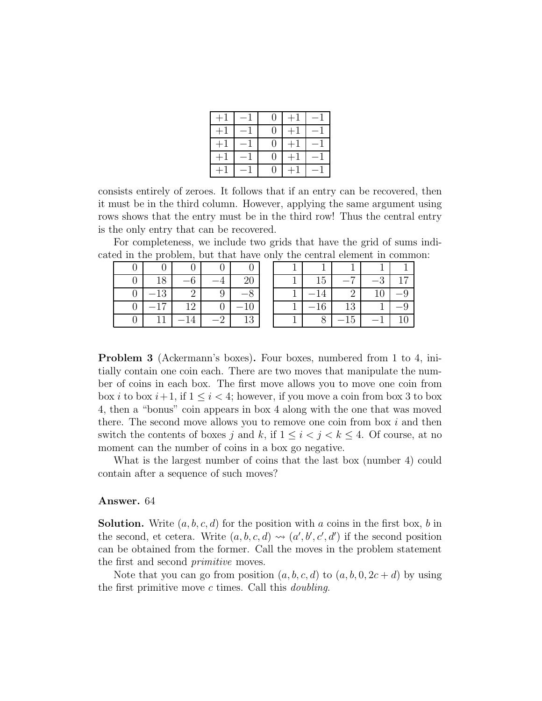| $+^{\circ}$    | $\rightarrow$ | $\cup$            | $+$         |                          |
|----------------|---------------|-------------------|-------------|--------------------------|
| $+^{\circ}$    | — 1           | $\Omega$          | $+^{\cdot}$ |                          |
| $+^{\circ}$    | — 1           | $\mathbf{\Omega}$ |             | $\overline{\phantom{0}}$ |
| $+$ $^{\circ}$ |               | $\cup$            | $+^{\circ}$ |                          |
| $+$            | $\equiv$      | O.                | $+$         | $\overline{\phantom{0}}$ |

consists entirely of zeroes. It follows that if an entry can be recovered, then it must be in the third column. However, applying the same argument using rows shows that the entry must be in the third row! Thus the central entry is the only entry that can be recovered.

For completeness, we include two grids that have the grid of sums indicated in the problem, but that have only the central element in common:

|   | 18 | 6              |   | 20 |
|---|----|----------------|---|----|
|   | 13 | $\Omega$       | 9 |    |
| 0 | 17 | 12             |   | 10 |
|   |    | $\overline{4}$ |   | 13 |

| 15 |    | ୍ର | 17  |
|----|----|----|-----|
| 14 | 2  | 10 | - 9 |
| 16 | 13 |    | -9  |
|    | 15 |    | 10  |

<span id="page-2-0"></span>Problem 3 (Ackermann's boxes). Four boxes, numbered from 1 to 4, initially contain one coin each. There are two moves that manipulate the number of coins in each box. The first move allows you to move one coin from box *i* to box  $i+1$ , if  $1 \leq i < 4$ ; however, if you move a coin from box 3 to box 4, then a "bonus" coin appears in box 4 along with the one that was moved there. The second move allows you to remove one coin from box  $i$  and then switch the contents of boxes j and k, if  $1 \leq i \leq j \leq k \leq 4$ . Of course, at no moment can the number of coins in a box go negative.

What is the largest number of coins that the last box (number 4) could contain after a sequence of such moves?

## Answer. 64

**Solution.** Write  $(a, b, c, d)$  for the position with a coins in the first box, b in the second, et cetera. Write  $(a, b, c, d) \rightsquigarrow (a', b', c', d')$  if the second position can be obtained from the former. Call the moves in the problem statement the first and second *primitive* moves.

Note that you can go from position  $(a, b, c, d)$  to  $(a, b, 0, 2c + d)$  by using the first primitive move  $c$  times. Call this *doubling*.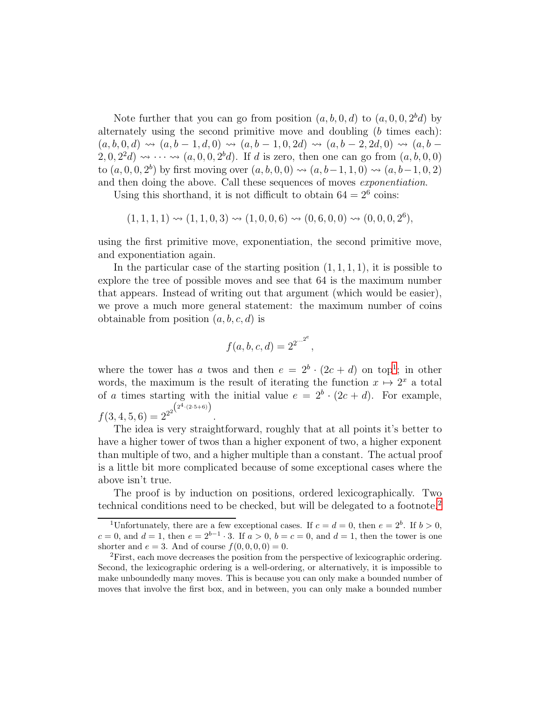Note further that you can go from position  $(a, b, 0, d)$  to  $(a, 0, 0, 2<sup>b</sup>d)$  by alternately using the second primitive move and doubling (b times each):  $(a, b, 0, d) \rightsquigarrow (a, b - 1, d, 0) \rightsquigarrow (a, b - 1, 0, 2d) \rightsquigarrow (a, b - 2, 2d, 0) \rightsquigarrow (a, b - 1, 0, 2d)$  $(2,0,2^2d) \rightsquigarrow \cdots \rightsquigarrow (a,0,0,2^bd)$ . If d is zero, then one can go from  $(a,b,0,0)$ to  $(a, 0, 0, 2<sup>b</sup>)$  by first moving over  $(a, b, 0, 0) \rightsquigarrow (a, b-1, 1, 0) \rightsquigarrow (a, b-1, 0, 2)$ and then doing the above. Call these sequences of moves exponentiation.

Using this shorthand, it is not difficult to obtain  $64 = 2^6$  coins:

$$
(1,1,1,1) \rightsquigarrow (1,1,0,3) \rightsquigarrow (1,0,0,6) \rightsquigarrow (0,6,0,0) \rightsquigarrow (0,0,0,2^6),
$$

using the first primitive move, exponentiation, the second primitive move, and exponentiation again.

In the particular case of the starting position  $(1, 1, 1, 1)$ , it is possible to explore the tree of possible moves and see that 64 is the maximum number that appears. Instead of writing out that argument (which would be easier), we prove a much more general statement: the maximum number of coins obtainable from position  $(a, b, c, d)$  is

$$
f(a, b, c, d) = 2^{2^{...^{2^e}}},
$$

where the tower has a twos and then  $e = 2^b \cdot (2c + d)$  on top<sup>[1](#page-3-0)</sup>; in other words, the maximum is the result of iterating the function  $x \mapsto 2^x$  a total of a times starting with the initial value  $e = 2^b \cdot (2c + d)$ . For example,  $f(3, 4, 5, 6) = 2^{2^{2^{\left(2^{4} \cdot (2 \cdot 5+6)\right)}}}$ .

The idea is very straightforward, roughly that at all points it's better to have a higher tower of twos than a higher exponent of two, a higher exponent than multiple of two, and a higher multiple than a constant. The actual proof is a little bit more complicated because of some exceptional cases where the above isn't true.

The proof is by induction on positions, ordered lexicographically. Two technical conditions need to be checked, but will be delegated to a footnote.[2](#page-3-1)

<span id="page-3-0"></span><sup>&</sup>lt;sup>1</sup>Unfortunately, there are a few exceptional cases. If  $c = d = 0$ , then  $e = 2<sup>b</sup>$ . If  $b > 0$ ,  $c = 0$ , and  $d = 1$ , then  $e = 2^{b-1} \cdot 3$ . If  $a > 0$ ,  $b = c = 0$ , and  $d = 1$ , then the tower is one shorter and  $e = 3$ . And of course  $f(0, 0, 0, 0) = 0$ .

<span id="page-3-1"></span><sup>&</sup>lt;sup>2</sup>First, each move decreases the position from the perspective of lexicographic ordering. Second, the lexicographic ordering is a well-ordering, or alternatively, it is impossible to make unboundedly many moves. This is because you can only make a bounded number of moves that involve the first box, and in between, you can only make a bounded number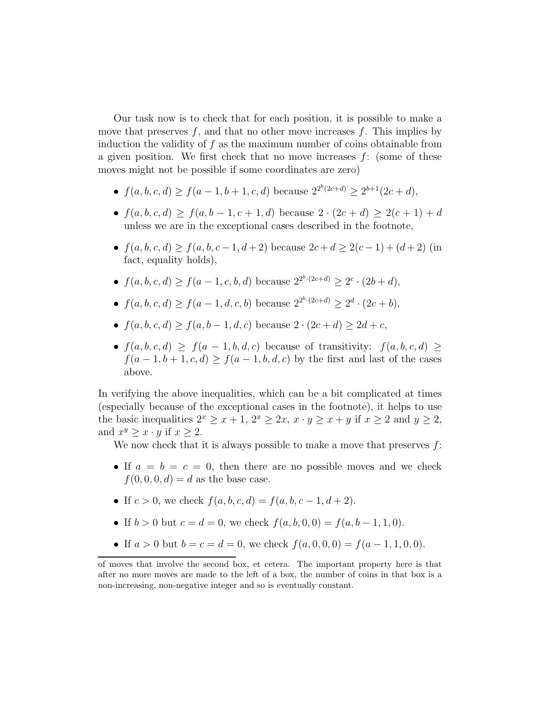Our task now is to check that for each position, it is possible to make a move that preserves  $f$ , and that no other move increases  $f$ . This implies by induction the validity of  $f$  as the maximum number of coins obtainable from a given position. We first check that no move increases  $f$ : (some of these moves might not be possible if some coordinates are zero)

- $f(a, b, c, d) \ge f(a-1, b+1, c, d)$  because  $2^{2^{b}(2c+d)} \ge 2^{b+1}(2c+d)$ ,
- $f(a, b, c, d) \ge f(a, b 1, c + 1, d)$  because  $2 \cdot (2c + d) \ge 2(c + 1) + d$ unless we are in the exceptional cases described in the footnote,
- $f(a, b, c, d) \ge f(a, b, c 1, d + 2)$  because  $2c + d \ge 2(c 1) + (d + 2)$  (in fact, equality holds),
- $f(a, b, c, d) \ge f(a-1, c, b, d)$  because  $2^{2^{b} \cdot (2c+d)} \ge 2^c \cdot (2b+d)$ ,
- $f(a, b, c, d) \ge f(a-1, d, c, b)$  because  $2^{2^{b} \cdot (2c+d)} \ge 2^d \cdot (2c+b)$ ,
- $f(a, b, c, d) \ge f(a, b 1, d, c)$  because  $2 \cdot (2c + d) \ge 2d + c$ ,
- $f(a, b, c, d) \geq f(a 1, b, d, c)$  because of transitivity:  $f(a, b, c, d) \geq$  $f(a-1, b+1, c, d) \ge f(a-1, b, d, c)$  by the first and last of the cases above.

In verifying the above inequalities, which can be a bit complicated at times (especially because of the exceptional cases in the footnote), it helps to use the basic inequalities  $2^x \ge x+1$ ,  $2^x \ge 2x$ ,  $x \cdot y \ge x+y$  if  $x \ge 2$  and  $y \ge 2$ , and  $x^y \geq x \cdot y$  if  $x \geq 2$ .

We now check that it is always possible to make a move that preserves  $f$ :

- If  $a = b = c = 0$ , then there are no possible moves and we check  $f(0, 0, 0, d) = d$  as the base case.
- If  $c > 0$ , we check  $f(a, b, c, d) = f(a, b, c 1, d + 2)$ .
- If  $b > 0$  but  $c = d = 0$ , we check  $f(a, b, 0, 0) = f(a, b 1, 1, 0)$ .
- If  $a > 0$  but  $b = c = d = 0$ , we check  $f(a, 0, 0, 0) = f(a 1, 1, 0, 0)$ .

of moves that involve the second box, et cetera. The important property here is that after no more moves are made to the left of a box, the number of coins in that box is a non-increasing, non-negative integer and so is eventually constant.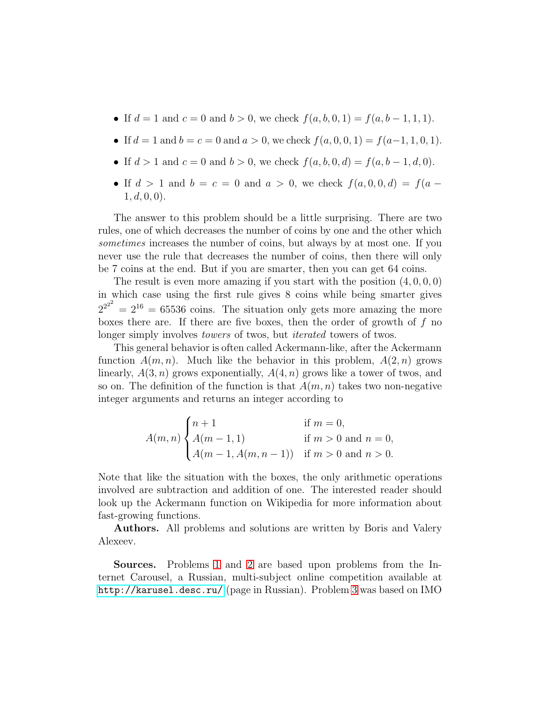- If  $d = 1$  and  $c = 0$  and  $b > 0$ , we check  $f(a, b, 0, 1) = f(a, b 1, 1, 1)$ .
- If  $d = 1$  and  $b = c = 0$  and  $a > 0$ , we check  $f(a, 0, 0, 1) = f(a-1, 1, 0, 1)$ .
- If  $d > 1$  and  $c = 0$  and  $b > 0$ , we check  $f(a, b, 0, d) = f(a, b 1, d, 0)$ .
- If  $d > 1$  and  $b = c = 0$  and  $a > 0$ , we check  $f(a, 0, 0, d) = f(a 1, d, 0, 0$ .

The answer to this problem should be a little surprising. There are two rules, one of which decreases the number of coins by one and the other which sometimes increases the number of coins, but always by at most one. If you never use the rule that decreases the number of coins, then there will only be 7 coins at the end. But if you are smarter, then you can get 64 coins.

The result is even more amazing if you start with the position  $(4, 0, 0, 0)$ in which case using the first rule gives 8 coins while being smarter gives  $2^{2^{2}}$  =  $2^{16}$  = 65536 coins. The situation only gets more amazing the more boxes there are. If there are five boxes, then the order of growth of  $f$  no longer simply involves *towers* of twos, but *iterated* towers of twos.

This general behavior is often called Ackermann-like, after the Ackermann function  $A(m, n)$ . Much like the behavior in this problem,  $A(2, n)$  grows linearly,  $A(3, n)$  grows exponentially,  $A(4, n)$  grows like a tower of twos, and so on. The definition of the function is that  $A(m, n)$  takes two non-negative integer arguments and returns an integer according to

$$
A(m, n) \begin{cases} n+1 & \text{if } m = 0, \\ A(m-1, 1) & \text{if } m > 0 \text{ and } n = 0, \\ A(m-1, A(m, n-1)) & \text{if } m > 0 \text{ and } n > 0. \end{cases}
$$

Note that like the situation with the boxes, the only arithmetic operations involved are subtraction and addition of one. The interested reader should look up the Ackermann function on Wikipedia for more information about fast-growing functions.

Authors. All problems and solutions are written by Boris and Valery Alexeev.

Sources. Problems [1](#page-0-0) and [2](#page-0-1) are based upon problems from the Internet Carousel, a Russian, multi-subject online competition available at <http://karusel.desc.ru/> (page in Russian). Problem [3](#page-2-0) was based on IMO